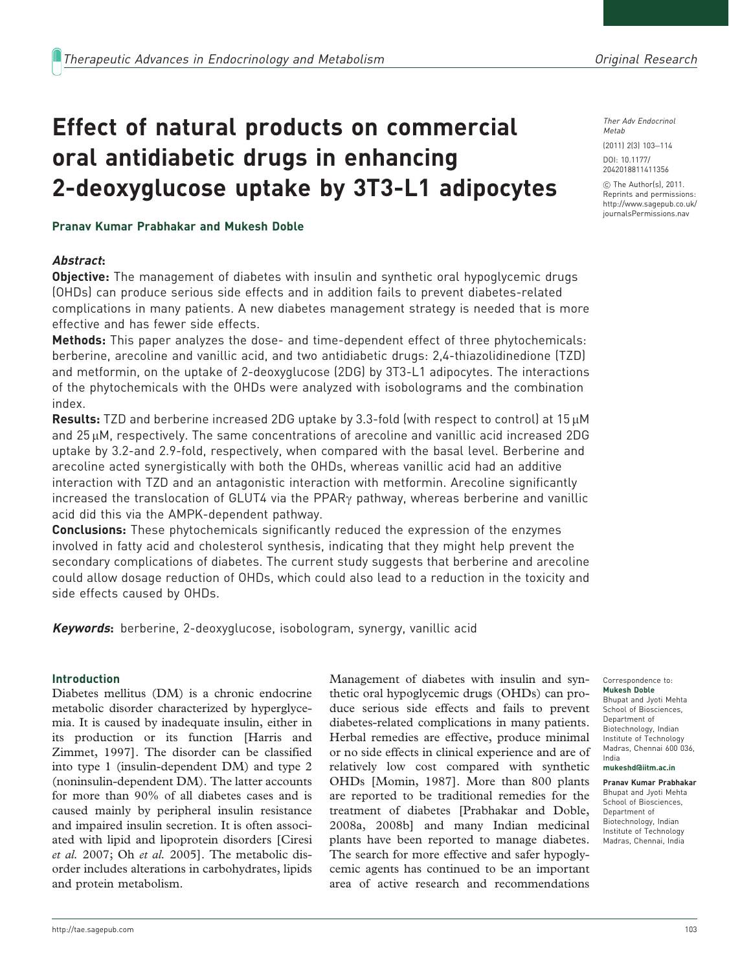# Effect of natural products on commercial oral antidiabetic drugs in enhancing 2-deoxyglucose uptake by 3T3-L1 adipocytes

#### Pranav Kumar Prabhakar and Mukesh Doble

# Abstract:

**Objective:** The management of diabetes with insulin and synthetic oral hypoglycemic drugs (OHDs) can produce serious side effects and in addition fails to prevent diabetes-related complications in many patients. A new diabetes management strategy is needed that is more effective and has fewer side effects.

Methods: This paper analyzes the dose- and time-dependent effect of three phytochemicals: berberine, arecoline and vanillic acid, and two antidiabetic drugs: 2,4-thiazolidinedione (TZD) and metformin, on the uptake of 2-deoxyglucose (2DG) by 3T3-L1 adipocytes. The interactions of the phytochemicals with the OHDs were analyzed with isobolograms and the combination index.

**Results:** TZD and berberine increased 2DG uptake by 3.3-fold (with respect to control) at 15  $\mu$ M and  $25 \mu$ M, respectively. The same concentrations of arecoline and vanillic acid increased  $2DG$ uptake by 3.2-and 2.9-fold, respectively, when compared with the basal level. Berberine and arecoline acted synergistically with both the OHDs, whereas vanillic acid had an additive interaction with TZD and an antagonistic interaction with metformin. Arecoline significantly increased the translocation of GLUT4 via the PPAR $\gamma$  pathway, whereas berberine and vanillic acid did this via the AMPK-dependent pathway.

Conclusions: These phytochemicals significantly reduced the expression of the enzymes involved in fatty acid and cholesterol synthesis, indicating that they might help prevent the secondary complications of diabetes. The current study suggests that berberine and arecoline could allow dosage reduction of OHDs, which could also lead to a reduction in the toxicity and side effects caused by OHDs.

Keywords: berberine, 2-deoxyglucose, isobologram, synergy, vanillic acid

#### Introduction

Diabetes mellitus (DM) is a chronic endocrine metabolic disorder characterized by hyperglycemia. It is caused by inadequate insulin, either in its production or its function [Harris and Zimmet, 1997]. The disorder can be classified into type 1 (insulin-dependent DM) and type 2 (noninsulin-dependent DM). The latter accounts for more than 90% of all diabetes cases and is caused mainly by peripheral insulin resistance and impaired insulin secretion. It is often associated with lipid and lipoprotein disorders [Ciresi et al. 2007; Oh et al. 2005]. The metabolic disorder includes alterations in carbohydrates, lipids and protein metabolism.

Management of diabetes with insulin and synthetic oral hypoglycemic drugs (OHDs) can produce serious side effects and fails to prevent diabetes-related complications in many patients. Herbal remedies are effective, produce minimal or no side effects in clinical experience and are of relatively low cost compared with synthetic OHDs [Momin, 1987]. More than 800 plants are reported to be traditional remedies for the treatment of diabetes [Prabhakar and Doble, 2008a, 2008b] and many Indian medicinal plants have been reported to manage diabetes. The search for more effective and safer hypoglycemic agents has continued to be an important area of active research and recommendations

Ther Adv Endocrinol Metab

(2011) 2(3) 103-114

DOI: 10.1177/ 2042018811411356

! The Author(s), 2011. Reprints and permissions: http://www.sagepub.co.uk/ journalsPermissions.nav

Correspondence to: Mukesh Doble Bhupat and Jyoti Mehta School of Biosciences, Department of Biotechnology, Indian Institute of Technology Madras, Chennai 600 036, India

#### mukeshd@iitm.ac.in

Pranav Kumar Prabhakar Bhupat and Jyoti Mehta School of Biosciences, Department of Biotechnology, Indian Institute of Technology Madras, Chennai, India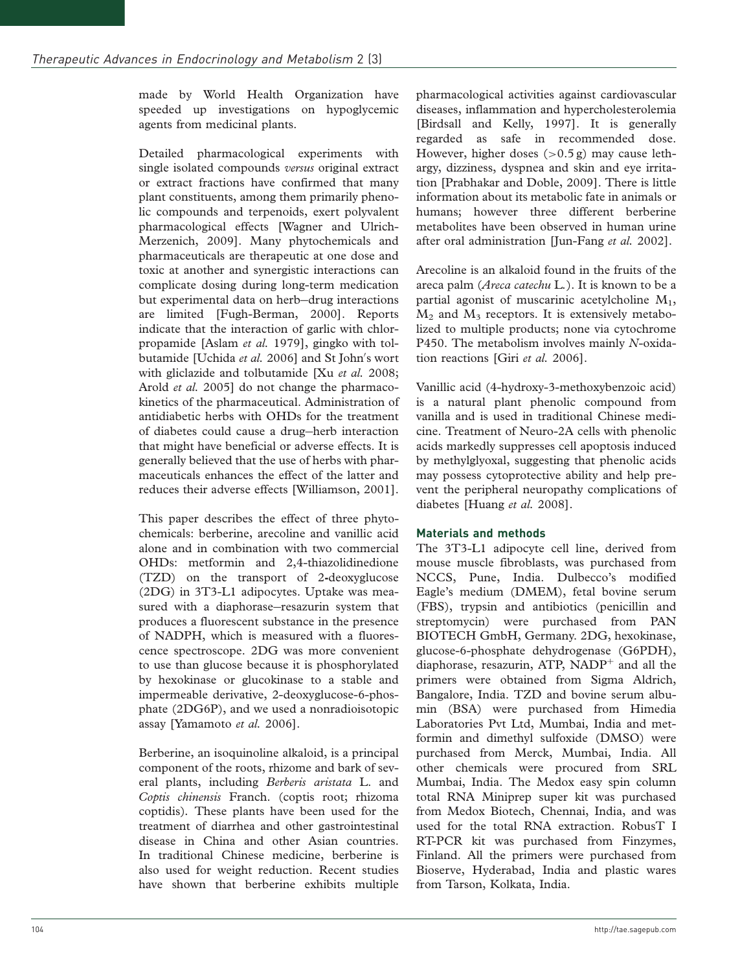made by World Health Organization have speeded up investigations on hypoglycemic agents from medicinal plants.

Detailed pharmacological experiments with single isolated compounds versus original extract or extract fractions have confirmed that many plant constituents, among them primarily phenolic compounds and terpenoids, exert polyvalent pharmacological effects [Wagner and Ulrich-Merzenich, 2009]. Many phytochemicals and pharmaceuticals are therapeutic at one dose and toxic at another and synergistic interactions can complicate dosing during long-term medication but experimental data on herb-drug interactions are limited [Fugh-Berman, 2000]. Reports indicate that the interaction of garlic with chlorpropamide [Aslam et al. 1979], gingko with tolbutamide [Uchida et al. 2006] and St John's wort with gliclazide and tolbutamide [Xu et al. 2008; Arold et al. 2005] do not change the pharmacokinetics of the pharmaceutical. Administration of antidiabetic herbs with OHDs for the treatment of diabetes could cause a drug-herb interaction that might have beneficial or adverse effects. It is generally believed that the use of herbs with pharmaceuticals enhances the effect of the latter and reduces their adverse effects [Williamson, 2001].

This paper describes the effect of three phytochemicals: berberine, arecoline and vanillic acid alone and in combination with two commercial OHDs: metformin and 2,4-thiazolidinedione (TZD) on the transport of 2-deoxyglucose (2DG) in 3T3-L1 adipocytes. Uptake was measured with a diaphorase-resazurin system that produces a fluorescent substance in the presence of NADPH, which is measured with a fluorescence spectroscope. 2DG was more convenient to use than glucose because it is phosphorylated by hexokinase or glucokinase to a stable and impermeable derivative, 2-deoxyglucose-6-phosphate (2DG6P), and we used a nonradioisotopic assay [Yamamoto et al. 2006].

Berberine, an isoquinoline alkaloid, is a principal component of the roots, rhizome and bark of several plants, including Berberis aristata L. and Coptis chinensis Franch. (coptis root; rhizoma coptidis). These plants have been used for the treatment of diarrhea and other gastrointestinal disease in China and other Asian countries. In traditional Chinese medicine, berberine is also used for weight reduction. Recent studies have shown that berberine exhibits multiple

pharmacological activities against cardiovascular diseases, inflammation and hypercholesterolemia [Birdsall and Kelly, 1997]. It is generally regarded as safe in recommended dose. However, higher doses  $(>0.5 \text{ g})$  may cause lethargy, dizziness, dyspnea and skin and eye irritation [Prabhakar and Doble, 2009]. There is little information about its metabolic fate in animals or humans; however three different berberine metabolites have been observed in human urine after oral administration [Jun-Fang et al. 2002].

Arecoline is an alkaloid found in the fruits of the areca palm (Areca catechu L.). It is known to be a partial agonist of muscarinic acetylcholine  $M_1$ ,  $M<sub>2</sub>$  and  $M<sub>3</sub>$  receptors. It is extensively metabolized to multiple products; none via cytochrome P450. The metabolism involves mainly N-oxidation reactions [Giri et al. 2006].

Vanillic acid (4-hydroxy-3-methoxybenzoic acid) is a natural plant phenolic compound from vanilla and is used in traditional Chinese medicine. Treatment of Neuro-2A cells with phenolic acids markedly suppresses cell apoptosis induced by methylglyoxal, suggesting that phenolic acids may possess cytoprotective ability and help prevent the peripheral neuropathy complications of diabetes [Huang et al. 2008].

# Materials and methods

The 3T3-L1 adipocyte cell line, derived from mouse muscle fibroblasts, was purchased from NCCS, Pune, India. Dulbecco's modified Eagle's medium (DMEM), fetal bovine serum (FBS), trypsin and antibiotics (penicillin and streptomycin) were purchased from PAN BIOTECH GmbH, Germany. 2DG, hexokinase, glucose-6-phosphate dehydrogenase (G6PDH), diaphorase, resazurin, ATP,  $NADP<sup>+</sup>$  and all the primers were obtained from Sigma Aldrich, Bangalore, India. TZD and bovine serum albumin (BSA) were purchased from Himedia Laboratories Pvt Ltd, Mumbai, India and metformin and dimethyl sulfoxide (DMSO) were purchased from Merck, Mumbai, India. All other chemicals were procured from SRL Mumbai, India. The Medox easy spin column total RNA Miniprep super kit was purchased from Medox Biotech, Chennai, India, and was used for the total RNA extraction. RobusT I RT-PCR kit was purchased from Finzymes, Finland. All the primers were purchased from Bioserve, Hyderabad, India and plastic wares from Tarson, Kolkata, India.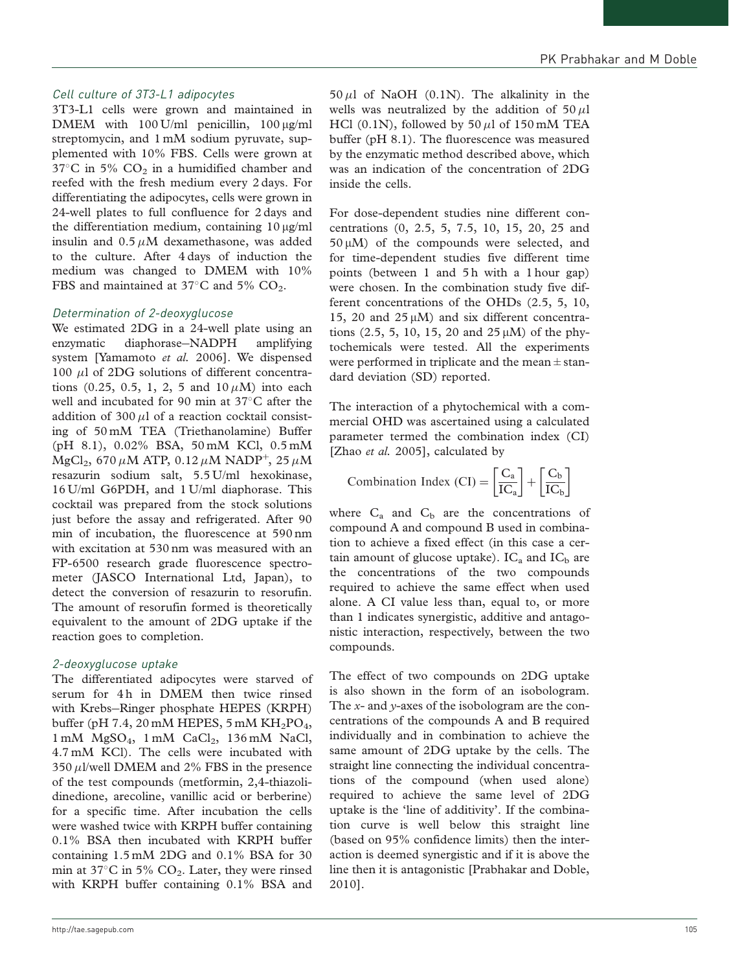## Cell culture of 3T3-L1 adipocytes

3T3-L1 cells were grown and maintained in DMEM with  $100$  U/ml penicillin,  $100 \mu\text{g/ml}$ streptomycin, and 1 mM sodium pyruvate, supplemented with 10% FBS. Cells were grown at 37°C in 5%  $CO<sub>2</sub>$  in a humidified chamber and reefed with the fresh medium every 2 days. For differentiating the adipocytes, cells were grown in 24-well plates to full confluence for 2 days and the differentiation medium, containing  $10 \mu g/ml$ insulin and  $0.5\,\mu\mathrm{M}$  dexamethasone, was added to the culture. After 4 days of induction the medium was changed to DMEM with 10% FBS and maintained at 37 $\mathrm{^{\circ}C}$  and 5% CO<sub>2</sub>.

#### Determination of 2-deoxyglucose

We estimated 2DG in a 24-well plate using an enzymatic diaphoraseamplifying system [Yamamoto et al. 2006]. We dispensed 100  $\mu$ l of 2DG solutions of different concentrations (0.25, 0.5, 1, 2, 5 and  $10 \mu M$ ) into each well and incubated for 90 min at 37°C after the addition of 300  $\mu$ l of a reaction cocktail consisting of 50 mM TEA (Triethanolamine) Buffer (pH 8.1), 0.02% BSA, 50 mM KCl, 0.5 mM  $\rm MgCl_2$ , 670  $\rm \mu M$  ATP, 0.12  $\rm \mu M$  NADP<sup>+</sup>, 25  $\rm \mu M$ resazurin sodium salt, 5.5 U/ml hexokinase, 16 U/ml G6PDH, and 1 U/ml diaphorase. This cocktail was prepared from the stock solutions just before the assay and refrigerated. After 90 min of incubation, the fluorescence at 590 nm with excitation at 530 nm was measured with an FP-6500 research grade fluorescence spectrometer (JASCO International Ltd, Japan), to detect the conversion of resazurin to resorufin. The amount of resorufin formed is theoretically equivalent to the amount of 2DG uptake if the reaction goes to completion.

#### 2-deoxyglucose uptake

The differentiated adipocytes were starved of serum for 4h in DMEM then twice rinsed with Krebs-Ringer phosphate HEPES (KRPH) buffer (pH 7.4, 20 mM HEPES, 5 mM  $KH_2PO_4$ , 1 mM MgSO<sub>4</sub>, 1 mM CaCl<sub>2</sub>, 136 mM NaCl, 4.7 mM KCl). The cells were incubated with 350  $\mu$ l/well DMEM and 2% FBS in the presence of the test compounds (metformin, 2,4-thiazolidinedione, arecoline, vanillic acid or berberine) for a specific time. After incubation the cells were washed twice with KRPH buffer containing 0.1% BSA then incubated with KRPH buffer containing 1.5 mM 2DG and 0.1% BSA for 30 min at  $37^{\circ}$ C in 5% CO<sub>2</sub>. Later, they were rinsed with KRPH buffer containing 0.1% BSA and

 $50 \,\mu$ l of NaOH (0.1N). The alkalinity in the wells was neutralized by the addition of  $50 \mu$ l HCl (0.1N), followed by 50  $\mu$ l of 150 mM TEA buffer (pH 8.1). The fluorescence was measured by the enzymatic method described above, which was an indication of the concentration of 2DG inside the cells.

For dose-dependent studies nine different concentrations (0, 2.5, 5, 7.5, 10, 15, 20, 25 and  $50 \mu M$ ) of the compounds were selected, and for time-dependent studies five different time points (between 1 and 5 h with a 1 hour gap) were chosen. In the combination study five different concentrations of the OHDs (2.5, 5, 10, 15, 20 and 25  $\mu$ M) and six different concentrations  $(2.5, 5, 10, 15, 20, \text{ and } 25 \mu M)$  of the phytochemicals were tested. All the experiments were performed in triplicate and the mean  $\pm$  standard deviation (SD) reported.

The interaction of a phytochemical with a commercial OHD was ascertained using a calculated parameter termed the combination index (CI) [Zhao et al. 2005], calculated by

$$
Combination Index (CI) = \left[\frac{C_a}{IC_a}\right] + \left[\frac{C_b}{IC_b}\right]
$$

where  $C_a$  and  $C_b$  are the concentrations of compound A and compound B used in combination to achieve a fixed effect (in this case a certain amount of glucose uptake).  $IC_a$  and  $IC_b$  are the concentrations of the two compounds required to achieve the same effect when used alone. A CI value less than, equal to, or more than 1 indicates synergistic, additive and antagonistic interaction, respectively, between the two compounds.

The effect of two compounds on 2DG uptake is also shown in the form of an isobologram. The x- and y-axes of the isobologram are the concentrations of the compounds A and B required individually and in combination to achieve the same amount of 2DG uptake by the cells. The straight line connecting the individual concentrations of the compound (when used alone) required to achieve the same level of 2DG uptake is the 'line of additivity'. If the combination curve is well below this straight line (based on 95% confidence limits) then the interaction is deemed synergistic and if it is above the line then it is antagonistic [Prabhakar and Doble, 2010].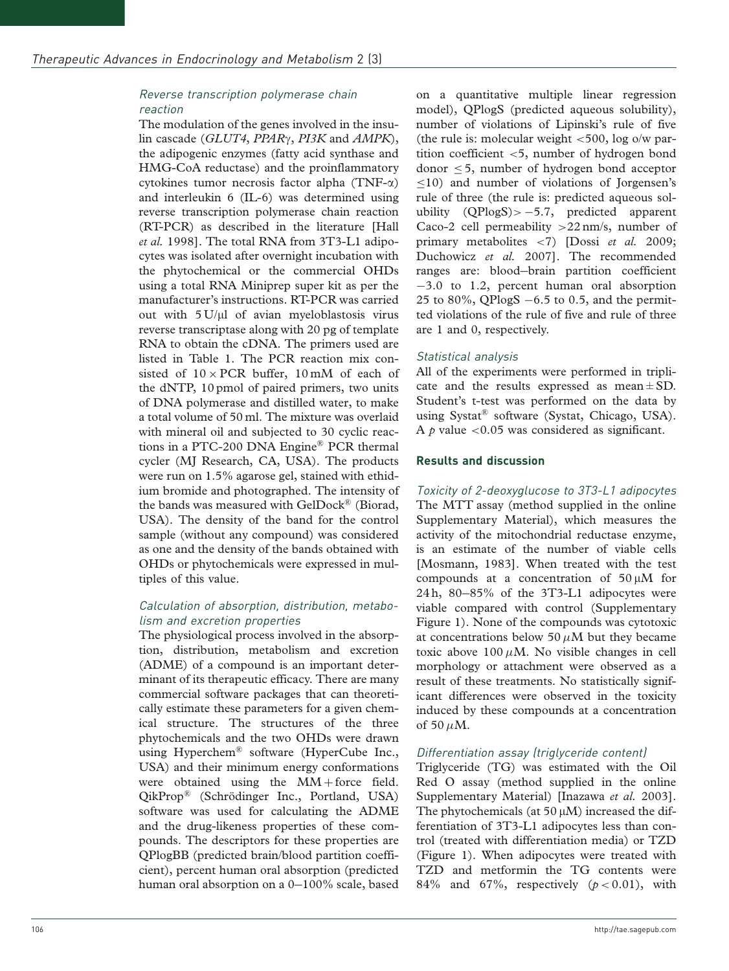# Reverse transcription polymerase chain reaction

The modulation of the genes involved in the insulin cascade (GLUT4, PPAR $\gamma$ , PI3K and AMPK), the adipogenic enzymes (fatty acid synthase and HMG-CoA reductase) and the proinflammatory cytokines tumor necrosis factor alpha  $(TNF-\alpha)$ and interleukin 6 (IL-6) was determined using reverse transcription polymerase chain reaction (RT-PCR) as described in the literature [Hall et al. 1998]. The total RNA from 3T3-L1 adipocytes was isolated after overnight incubation with the phytochemical or the commercial OHDs using a total RNA Miniprep super kit as per the manufacturer's instructions. RT-PCR was carried out with  $5 U/\mu l$  of avian myeloblastosis virus reverse transcriptase along with 20 pg of template RNA to obtain the cDNA. The primers used are listed in Table 1. The PCR reaction mix consisted of  $10 \times PCR$  buffer,  $10 \text{ mM}$  of each of the dNTP, 10 pmol of paired primers, two units of DNA polymerase and distilled water, to make a total volume of 50 ml. The mixture was overlaid with mineral oil and subjected to 30 cyclic reactions in a PTC-200 DNA Engine® PCR thermal cycler (MJ Research, CA, USA). The products were run on 1.5% agarose gel, stained with ethidium bromide and photographed. The intensity of the bands was measured with GelDock $^{\circledR}$  (Biorad, USA). The density of the band for the control sample (without any compound) was considered as one and the density of the bands obtained with OHDs or phytochemicals were expressed in multiples of this value.

# Calculation of absorption, distribution, metabolism and excretion properties

The physiological process involved in the absorption, distribution, metabolism and excretion (ADME) of a compound is an important determinant of its therapeutic efficacy. There are many commercial software packages that can theoretically estimate these parameters for a given chemical structure. The structures of the three phytochemicals and the two OHDs were drawn using Hyperchem® software (HyperCube Inc., USA) and their minimum energy conformations were obtained using the  $MM + force$  field. QikProp® (Schrödinger Inc., Portland, USA) software was used for calculating the ADME and the drug-likeness properties of these compounds. The descriptors for these properties are QPlogBB (predicted brain/blood partition coefficient), percent human oral absorption (predicted human oral absorption on a 0-100% scale, based

on a quantitative multiple linear regression model), QPlogS (predicted aqueous solubility), number of violations of Lipinski's rule of five (the rule is: molecular weight  $\lt$  500, log o/w partition coefficient <5, number of hydrogen bond  $\alpha$  = 4.5, number of hydrogen bond acceptor  $\leq$ 10) and number of violations of Jorgensen's rule of three (the rule is: predicted aqueous solubility  $(QP \log S) > -5.7$ , predicted apparent Caco-2 cell permeability >22 nm/s, number of primary metabolites <7) [Dossi et al. 2009; Duchowicz et al. 2007]. The recommended ranges are: blood-brain partition coefficient 3.0 to 1.2, percent human oral absorption 25 to 80%, QPlogS  $-6.5$  to 0.5, and the permitted violations of the rule of five and rule of three are 1 and 0, respectively.

# Statistical analysis

All of the experiments were performed in triplicate and the results expressed as  $mean \pm SD$ . Student's t-test was performed on the data by using Systat® software (Systat, Chicago, USA). A  $p$  value <0.05 was considered as significant.

# Results and discussion

Toxicity of 2-deoxyglucose to 3T3-L1 adipocytes The MTT assay (method supplied in the online Supplementary Material), which measures the activity of the mitochondrial reductase enzyme, is an estimate of the number of viable cells [Mosmann, 1983]. When treated with the test compounds at a concentration of  $50 \mu M$  for 24 h, 80-85% of the 3T3-L1 adipocytes were viable compared with control (Supplementary Figure 1). None of the compounds was cytotoxic at concentrations below 50  $\mu$ M but they became toxic above 100  $\mu$ M. No visible changes in cell morphology or attachment were observed as a result of these treatments. No statistically significant differences were observed in the toxicity induced by these compounds at a concentration of 50  $\mu$ M.

## Differentiation assay (triglyceride content)

Triglyceride (TG) was estimated with the Oil Red O assay (method supplied in the online Supplementary Material) [Inazawa et al. 2003]. The phytochemicals (at  $50 \mu$ M) increased the differentiation of 3T3-L1 adipocytes less than control (treated with differentiation media) or TZD (Figure 1). When adipocytes were treated with TZD and metformin the TG contents were 84% and 67%, respectively  $(p < 0.01)$ , with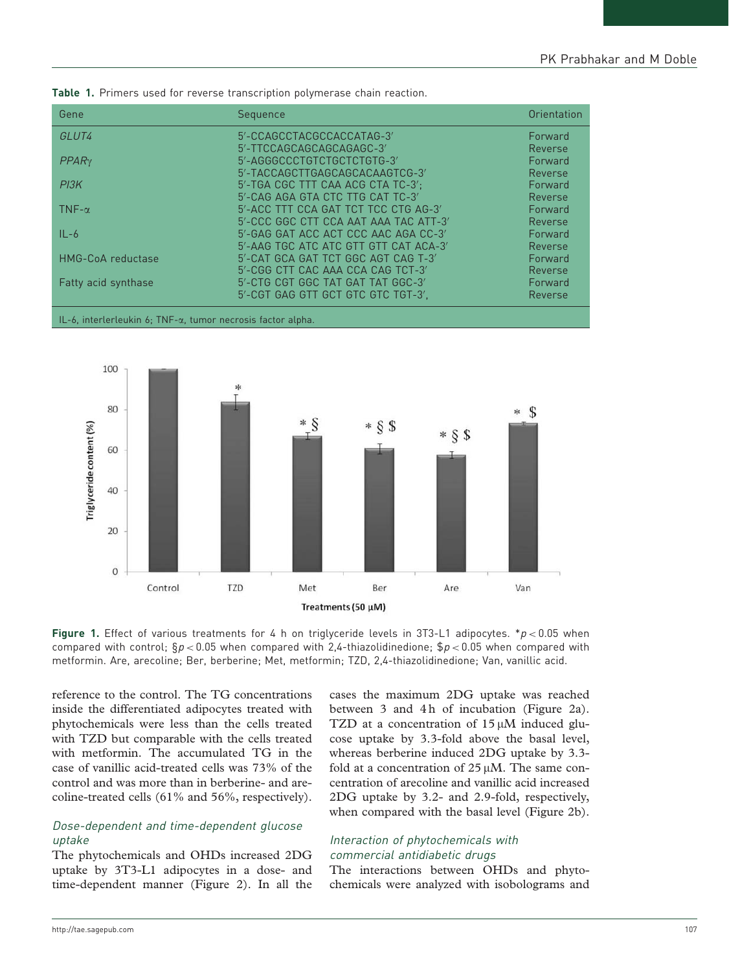| Gene                     | Sequence                              | Orientation |
|--------------------------|---------------------------------------|-------------|
| GLUT4                    | 5'-CCAGCCTACGCCACCATAG-3'             | Forward     |
|                          | 5'-TTCCAGCAGCAGCAGAGC-3'              | Reverse     |
| PPAR <sub>Y</sub>        | 5'-AGGGCCCTGTCTGCTCTGTG-3'            | Forward     |
|                          | 5'-TACCAGCTTGAGCAGCACAAGTCG-3'        | Reverse     |
| PI3K                     | 5'-TGA CGC TTT CAA ACG CTA TC-3':     | Forward     |
|                          | 5'-CAG AGA GTA CTC TTG CAT TC-3'      | Reverse     |
| TNF- $\alpha$            | 5'-ACC TTT CCA GAT TCT TCC CTG AG-3'  | Forward     |
|                          | 5'-CCC GGC CTT CCA AAT AAA TAC ATT-3' | Reverse     |
| $II - 6$                 | 5'-GAG GAT ACC ACT CCC AAC AGA CC-3'  | Forward     |
|                          | 5'-AAG TGC ATC ATC GTT GTT CAT ACA-3' | Reverse     |
| <b>HMG-CoA</b> reductase | 5'-CAT GCA GAT TCT GGC AGT CAG T-3'   | Forward     |
|                          | 5'-CGG CTT CAC AAA CCA CAG TCT-3'     | Reverse     |
| Fatty acid synthase      | 5'-CTG CGT GGC TAT GAT TAT GGC-3'     | Forward     |
|                          | 5'-CGT GAG GTT GCT GTC GTC TGT-3'.    | Reverse     |
|                          |                                       |             |

Table 1. Primers used for reverse transcription polymerase chain reaction.

IL-6, interlerleukin 6; TNF-a, tumor necrosis factor alpha.



Figure 1. Effect of various treatments for 4 h on triglyceride levels in 3T3-L1 adipocytes.  $*_p$  < 0.05 when compared with control;  $\S p < 0.05$  when compared with 2,4-thiazolidinedione;  $\S p < 0.05$  when compared with metformin. Are, arecoline; Ber, berberine; Met, metformin; TZD, 2,4-thiazolidinedione; Van, vanillic acid.

reference to the control. The TG concentrations inside the differentiated adipocytes treated with phytochemicals were less than the cells treated with TZD but comparable with the cells treated with metformin. The accumulated TG in the case of vanillic acid-treated cells was 73% of the control and was more than in berberine- and arecoline-treated cells (61% and 56%, respectively).

# Dose-dependent and time-dependent glucose uptake

The phytochemicals and OHDs increased 2DG uptake by 3T3-L1 adipocytes in a dose- and time-dependent manner (Figure 2). In all the cases the maximum 2DG uptake was reached between 3 and 4h of incubation (Figure 2a). TZD at a concentration of  $15 \mu M$  induced glucose uptake by 3.3-fold above the basal level, whereas berberine induced 2DG uptake by 3.3 fold at a concentration of  $25 \mu M$ . The same concentration of arecoline and vanillic acid increased 2DG uptake by 3.2- and 2.9-fold, respectively, when compared with the basal level (Figure 2b).

## Interaction of phytochemicals with commercial antidiabetic drugs

The interactions between OHDs and phytochemicals were analyzed with isobolograms and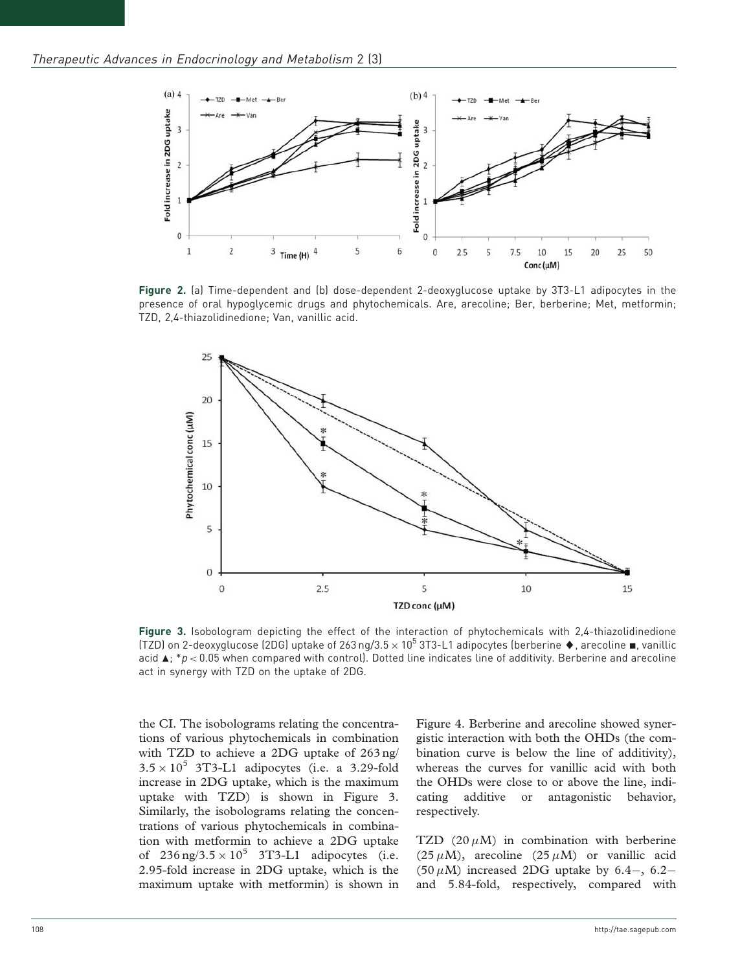

Figure 2. (a) Time-dependent and (b) dose-dependent 2-deoxyglucose uptake by 3T3-L1 adipocytes in the presence of oral hypoglycemic drugs and phytochemicals. Are, arecoline; Ber, berberine; Met, metformin; TZD, 2,4-thiazolidinedione; Van, vanillic acid.



Figure 3. Isobologram depicting the effect of the interaction of phytochemicals with 2,4-thiazolidinedione (TZD) on 2-deoxyglucose (2DG) uptake of 263 ng/3.5  $\times$  10<sup>5</sup> 3T3-L1 adipocytes (berberine  $\bullet$ , arecoline  $\bullet$ , vanillic acid  $\blacktriangle$ ;  $*p$  < 0.05 when compared with control). Dotted line indicates line of additivity. Berberine and arecoline act in synergy with TZD on the uptake of 2DG.

the CI. The isobolograms relating the concentrations of various phytochemicals in combination with TZD to achieve a 2DG uptake of 263 ng/  $3.5 \times 10^5$  3T3-L1 adipocytes (i.e. a 3.29-fold increase in 2DG uptake, which is the maximum uptake with TZD) is shown in Figure 3. Similarly, the isobolograms relating the concentrations of various phytochemicals in combination with metformin to achieve a 2DG uptake of  $236 \text{ ng}/3.5 \times 10^5$  3T3-L1 adipocytes (i.e. 2.95-fold increase in 2DG uptake, which is the maximum uptake with metformin) is shown in

Figure 4. Berberine and arecoline showed synergistic interaction with both the OHDs (the combination curve is below the line of additivity), whereas the curves for vanillic acid with both the OHDs were close to or above the line, indicating additive or antagonistic behavior, respectively.

TZD (20 $\mu$ M) in combination with berberine (25  $\mu$ M), arecoline (25  $\mu$ M) or vanillic acid (50  $\mu$ M) increased 2DG uptake by 6.4–, 6.2– and 5.84-fold, respectively, compared with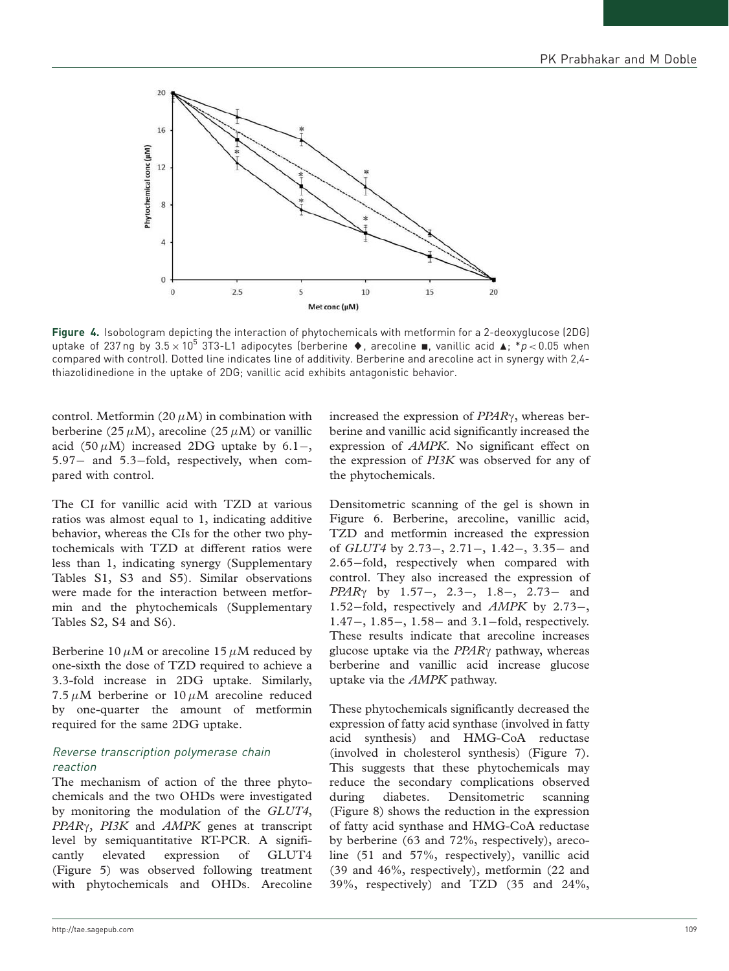

Figure 4. Isobologram depicting the interaction of phytochemicals with metformin for a 2-deoxyglucose (2DG) uptake of 237 ng by  $3.5 \times 10^5$  3T3-L1 adipocytes (berberine  $\bullet$ , arecoline  $\bullet$ , vanillic acid  $\bullet$ ; \*p < 0.05 when compared with control). Dotted line indicates line of additivity. Berberine and arecoline act in synergy with 2,4 thiazolidinedione in the uptake of 2DG; vanillic acid exhibits antagonistic behavior.

control. Metformin (20  $\mu$ M) in combination with berberine (25  $\mu$ M), arecoline (25  $\mu$ M) or vanillic acid (50  $\mu$ M) increased 2DG uptake by 6.1-, 5.97 - and 5.3-fold, respectively, when compared with control.

The CI for vanillic acid with TZD at various ratios was almost equal to 1, indicating additive behavior, whereas the CIs for the other two phytochemicals with TZD at different ratios were less than 1, indicating synergy (Supplementary Tables S1, S3 and S5). Similar observations were made for the interaction between metformin and the phytochemicals (Supplementary Tables S2, S4 and S6).

Berberine 10  $\mu$ M or arecoline 15  $\mu$ M reduced by one-sixth the dose of TZD required to achieve a 3.3-fold increase in 2DG uptake. Similarly, 7.5  $\mu$ M berberine or 10  $\mu$ M arecoline reduced by one-quarter the amount of metformin required for the same 2DG uptake.

## Reverse transcription polymerase chain reaction

The mechanism of action of the three phytochemicals and the two OHDs were investigated by monitoring the modulation of the GLUT4, PPAR<sub>Y</sub>, PI3K and AMPK genes at transcript level by semiquantitative RT-PCR. A significantly elevated expression of GLUT4 (Figure 5) was observed following treatment with phytochemicals and OHDs. Arecoline increased the expression of  $PPAR<sub>Y</sub>$ , whereas berberine and vanillic acid significantly increased the expression of AMPK. No significant effect on the expression of PI3K was observed for any of the phytochemicals.

Densitometric scanning of the gel is shown in Figure 6. Berberine, arecoline, vanillic acid, TZD and metformin increased the expression of GLUT4 by  $2.73-$ ,  $2.71-$ ,  $1.42-$ ,  $3.35-$  and 2.65-fold, respectively when compared with control. They also increased the expression of PPAR<sub>Y</sub> by 1.57-, 2.3-, 1.8-, 2.73- and 1.52-fold, respectively and  $AMPK$  by 2.73-,  $1.47-$ ,  $1.85-$ ,  $1.58-$  and  $3.1-$ fold, respectively. These results indicate that arecoline increases glucose uptake via the  $PPAR\gamma$  pathway, whereas berberine and vanillic acid increase glucose uptake via the AMPK pathway.

These phytochemicals significantly decreased the expression of fatty acid synthase (involved in fatty acid synthesis) and HMG-CoA reductase (involved in cholesterol synthesis) (Figure 7). This suggests that these phytochemicals may reduce the secondary complications observed during diabetes. Densitometric scanning (Figure 8) shows the reduction in the expression of fatty acid synthase and HMG-CoA reductase by berberine (63 and 72%, respectively), arecoline (51 and 57%, respectively), vanillic acid (39 and 46%, respectively), metformin (22 and 39%, respectively) and TZD (35 and 24%,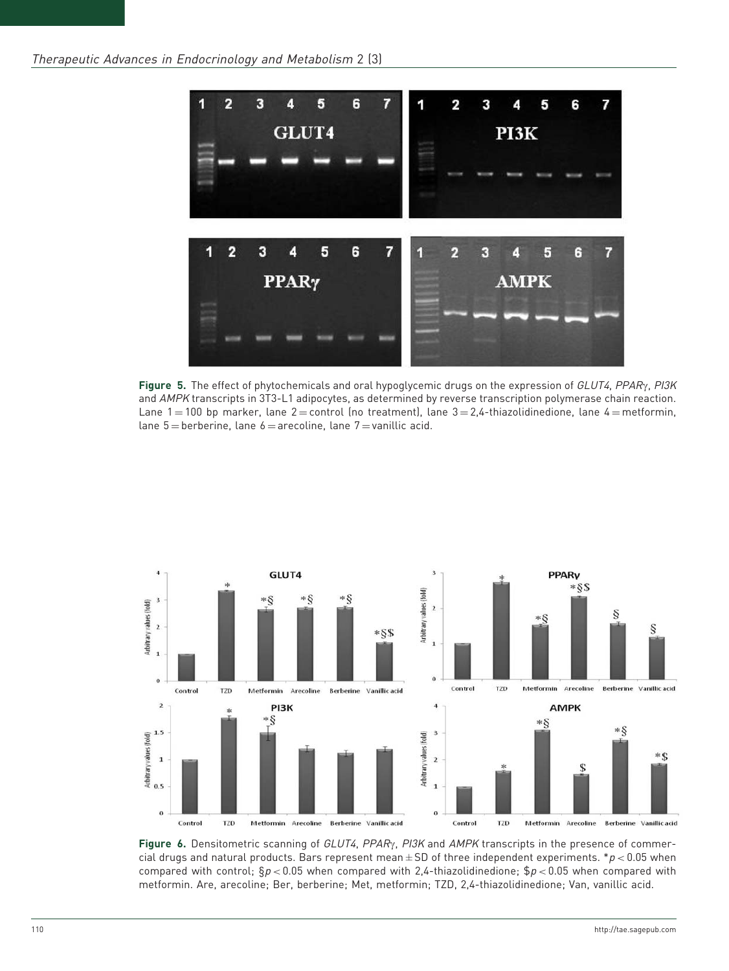

Figure 5. The effect of phytochemicals and oral hypoglycemic drugs on the expression of GLUT4, PPARy, PI3K and AMPK transcripts in 3T3-L1 adipocytes, as determined by reverse transcription polymerase chain reaction. Lane  $1 = 100$  bp marker, lane  $2 =$ control (no treatment), lane  $3 = 2,4$ -thiazolidinedione, lane  $4 =$ metformin, lane  $5 =$  berberine, lane  $6 =$  arecoline, lane  $7 =$  vanillic acid.



Figure 6. Densitometric scanning of GLUT4, PPARy, PI3K and AMPK transcripts in the presence of commercial drugs and natural products. Bars represent mean  $\pm$  SD of three independent experiments. \*p < 0.05 when compared with control;  $\S p < 0.05$  when compared with 2,4-thiazolidinedione;  $\wp < 0.05$  when compared with metformin. Are, arecoline; Ber, berberine; Met, metformin; TZD, 2,4-thiazolidinedione; Van, vanillic acid.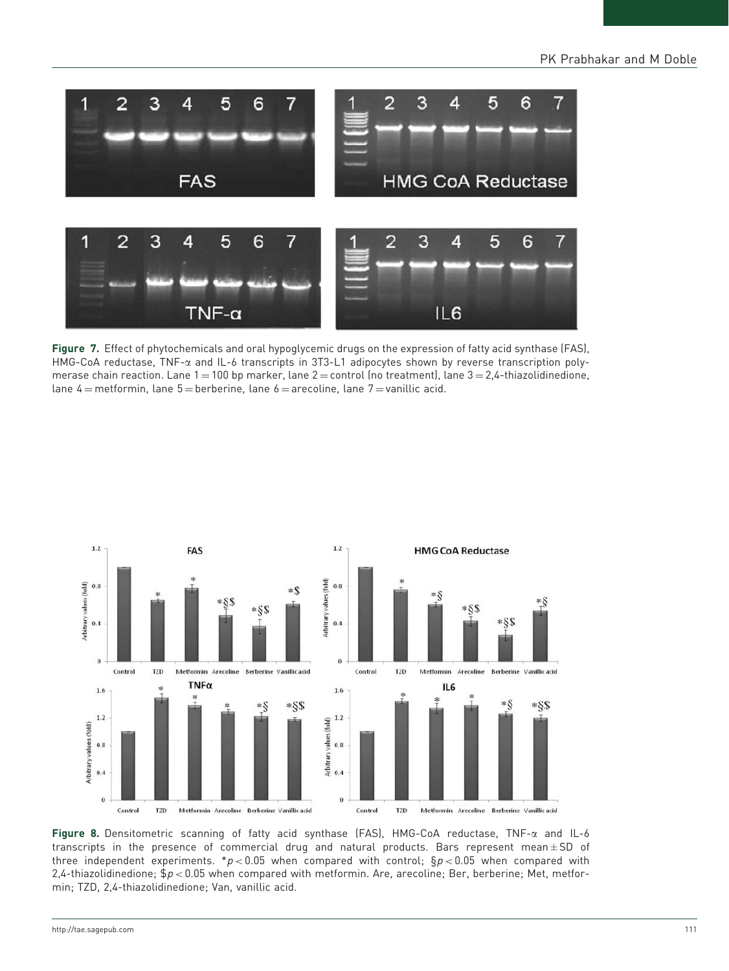

Figure 7. Effect of phytochemicals and oral hypoglycemic drugs on the expression of fatty acid synthase (FAS), HMG-CoA reductase, TNF- $\alpha$  and IL-6 transcripts in 3T3-L1 adipocytes shown by reverse transcription polymerase chain reaction. Lane  $1 = 100$  bp marker, lane  $2 =$  control (no treatment), lane  $3 = 2.4$ -thiazolidinedione, lane  $4$  = metformin, lane 5 = berberine, lane 6 = arecoline, lane 7 = vanillic acid.



Figure 8. Densitometric scanning of fatty acid synthase (FAS), HMG-CoA reductase, TNF-a and IL-6 transcripts in the presence of commercial drug and natural products. Bars represent mean±SD of three independent experiments. \*p < 0.05 when compared with control;  $\S p$  < 0.05 when compared with 2,4-thiazolidinedione;  $\frac{6}{5}p < 0.05$  when compared with metformin. Are, arecoline; Ber, berberine; Met, metformin; TZD, 2,4-thiazolidinedione; Van, vanillic acid.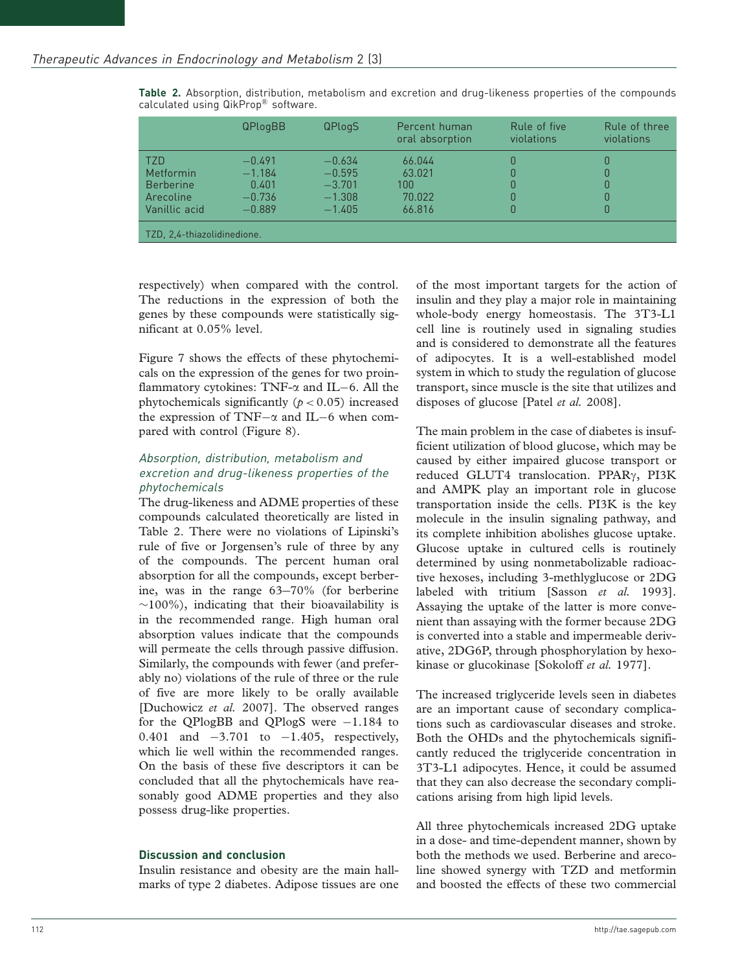|                             | <b>QPlogBB</b> | <b>QPlogS</b> | Percent human<br>oral absorption | Rule of five<br>violations | Rule of three<br>violations |  |
|-----------------------------|----------------|---------------|----------------------------------|----------------------------|-----------------------------|--|
| <b>TZD</b>                  | $-0.491$       | $-0.634$      | 66.044                           |                            |                             |  |
| Metformin                   | $-1.184$       | $-0.595$      | 63.021                           | 0                          |                             |  |
| <b>Berberine</b>            | 0.401          | $-3.701$      | 100                              |                            |                             |  |
| Arecoline                   | $-0.736$       | $-1.308$      | 70.022                           | 0                          |                             |  |
| Vanillic acid               | $-0.889$       | $-1.405$      | 66.816                           |                            |                             |  |
| TZD. 2.4-thiazolidinedione. |                |               |                                  |                            |                             |  |

Table 2. Absorption, distribution, metabolism and excretion and drug-likeness properties of the compounds calculated using QikProp® software.

respectively) when compared with the control. The reductions in the expression of both the genes by these compounds were statistically significant at 0.05% level.

Figure 7 shows the effects of these phytochemicals on the expression of the genes for two proinflammatory cytokines: TNF- $\alpha$  and IL-6. All the phytochemicals significantly ( $p < 0.05$ ) increased the expression of TNF $-\alpha$  and IL $-6$  when compared with control (Figure 8).

## Absorption, distribution, metabolism and excretion and drug-likeness properties of the phytochemicals

The drug-likeness and ADME properties of these compounds calculated theoretically are listed in Table 2. There were no violations of Lipinski's rule of five or Jorgensen's rule of three by any of the compounds. The percent human oral absorption for all the compounds, except berberine, was in the range 63-70% (for berberine  $\sim$ 100%), indicating that their bioavailability is in the recommended range. High human oral absorption values indicate that the compounds will permeate the cells through passive diffusion. Similarly, the compounds with fewer (and preferably no) violations of the rule of three or the rule of five are more likely to be orally available [Duchowicz et al. 2007]. The observed ranges for the QPlogBB and QPlogS were  $-1.184$  to 0.401 and  $-3.701$  to  $-1.405$ , respectively, which lie well within the recommended ranges. On the basis of these five descriptors it can be concluded that all the phytochemicals have reasonably good ADME properties and they also possess drug-like properties.

#### Discussion and conclusion

Insulin resistance and obesity are the main hallmarks of type 2 diabetes. Adipose tissues are one

of the most important targets for the action of insulin and they play a major role in maintaining whole-body energy homeostasis. The 3T3-L1 cell line is routinely used in signaling studies and is considered to demonstrate all the features of adipocytes. It is a well-established model system in which to study the regulation of glucose transport, since muscle is the site that utilizes and disposes of glucose [Patel et al. 2008].

The main problem in the case of diabetes is insufficient utilization of blood glucose, which may be caused by either impaired glucose transport or reduced GLUT4 translocation. PPARg, PI3K and AMPK play an important role in glucose transportation inside the cells. PI3K is the key molecule in the insulin signaling pathway, and its complete inhibition abolishes glucose uptake. Glucose uptake in cultured cells is routinely determined by using nonmetabolizable radioactive hexoses, including 3-methlyglucose or 2DG labeled with tritium [Sasson et al. 1993]. Assaying the uptake of the latter is more convenient than assaying with the former because 2DG is converted into a stable and impermeable derivative, 2DG6P, through phosphorylation by hexokinase or glucokinase [Sokoloff et al. 1977].

The increased triglyceride levels seen in diabetes are an important cause of secondary complications such as cardiovascular diseases and stroke. Both the OHDs and the phytochemicals significantly reduced the triglyceride concentration in 3T3-L1 adipocytes. Hence, it could be assumed that they can also decrease the secondary complications arising from high lipid levels.

All three phytochemicals increased 2DG uptake in a dose- and time-dependent manner, shown by both the methods we used. Berberine and arecoline showed synergy with TZD and metformin and boosted the effects of these two commercial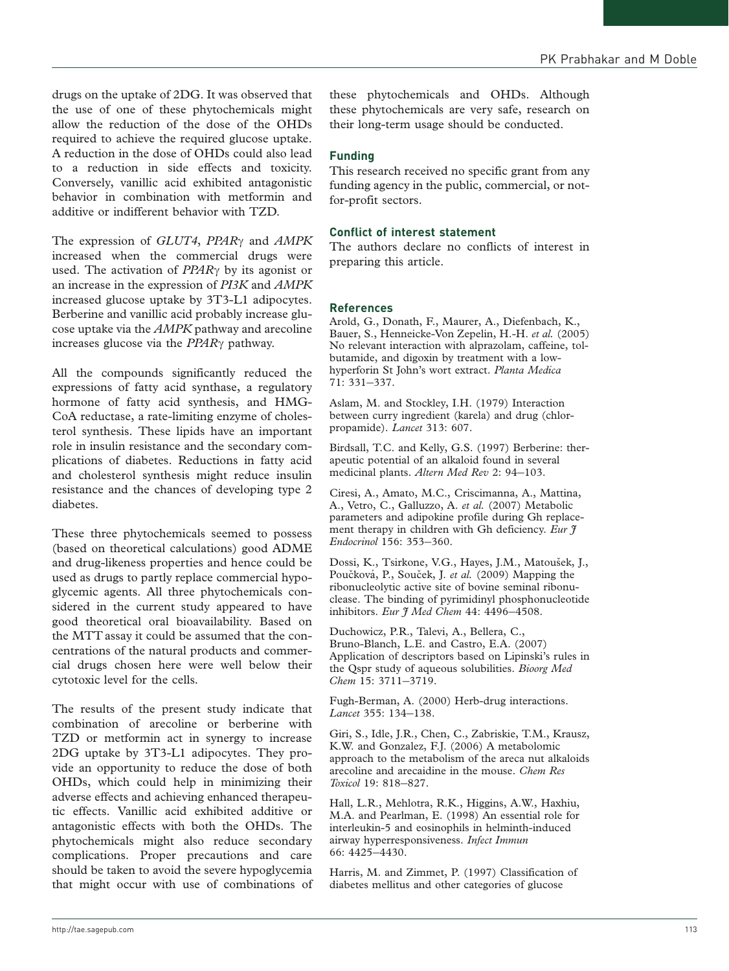drugs on the uptake of 2DG. It was observed that the use of one of these phytochemicals might allow the reduction of the dose of the OHDs required to achieve the required glucose uptake. A reduction in the dose of OHDs could also lead to a reduction in side effects and toxicity. Conversely, vanillic acid exhibited antagonistic behavior in combination with metformin and additive or indifferent behavior with TZD.

The expression of GLUT4, PPAR<sub>Y</sub> and AMPK increased when the commercial drugs were used. The activation of  $PPAR<sub>Y</sub>$  by its agonist or an increase in the expression of PI3K and AMPK increased glucose uptake by 3T3-L1 adipocytes. Berberine and vanillic acid probably increase glucose uptake via the AMPK pathway and arecoline increases glucose via the  $PPAR\gamma$  pathway.

All the compounds significantly reduced the expressions of fatty acid synthase, a regulatory hormone of fatty acid synthesis, and HMG-CoA reductase, a rate-limiting enzyme of cholesterol synthesis. These lipids have an important role in insulin resistance and the secondary complications of diabetes. Reductions in fatty acid and cholesterol synthesis might reduce insulin resistance and the chances of developing type 2 diabetes.

These three phytochemicals seemed to possess (based on theoretical calculations) good ADME and drug-likeness properties and hence could be used as drugs to partly replace commercial hypoglycemic agents. All three phytochemicals considered in the current study appeared to have good theoretical oral bioavailability. Based on the MTT assay it could be assumed that the concentrations of the natural products and commercial drugs chosen here were well below their cytotoxic level for the cells.

The results of the present study indicate that combination of arecoline or berberine with TZD or metformin act in synergy to increase 2DG uptake by 3T3-L1 adipocytes. They provide an opportunity to reduce the dose of both OHDs, which could help in minimizing their adverse effects and achieving enhanced therapeutic effects. Vanillic acid exhibited additive or antagonistic effects with both the OHDs. The phytochemicals might also reduce secondary complications. Proper precautions and care should be taken to avoid the severe hypoglycemia that might occur with use of combinations of these phytochemicals and OHDs. Although these phytochemicals are very safe, research on their long-term usage should be conducted.

# Funding

This research received no specific grant from any funding agency in the public, commercial, or notfor-profit sectors.

# Conflict of interest statement

The authors declare no conflicts of interest in preparing this article.

## References

Arold, G., Donath, F., Maurer, A., Diefenbach, K., Bauer, S., Henneicke-Von Zepelin, H.-H. et al. (2005) No relevant interaction with alprazolam, caffeine, tolbutamide, and digoxin by treatment with a lowhyperforin St John's wort extract. Planta Medica 71: 331-337.

Aslam, M. and Stockley, I.H. (1979) Interaction between curry ingredient (karela) and drug (chlorpropamide). Lancet 313: 607.

Birdsall, T.C. and Kelly, G.S. (1997) Berberine: therapeutic potential of an alkaloid found in several medicinal plants. Altern Med Rev 2: 94-103.

Ciresi, A., Amato, M.C., Criscimanna, A., Mattina, A., Vetro, C., Galluzzo, A. et al. (2007) Metabolic parameters and adipokine profile during Gh replacement therapy in children with Gh deficiency. Eur  $\mathfrak f$ Endocrinol 156: 353-360.

Dossi, K., Tsirkone, V.G., Hayes, J.M., Matoušek, J., Poučková, P., Souček, J. et al. (2009) Mapping the ribonucleolytic active site of bovine seminal ribonuclease. The binding of pyrimidinyl phosphonucleotide inhibitors. Eur J Med Chem 44: 4496-4508.

Duchowicz, P.R., Talevi, A., Bellera, C., Bruno-Blanch, L.E. and Castro, E.A. (2007) Application of descriptors based on Lipinski's rules in the Qspr study of aqueous solubilities. Bioorg Med Chem 15: 3711-3719.

Fugh-Berman, A. (2000) Herb-drug interactions. Lancet 355: 134-138.

Giri, S., Idle, J.R., Chen, C., Zabriskie, T.M., Krausz, K.W. and Gonzalez, F.J. (2006) A metabolomic approach to the metabolism of the areca nut alkaloids arecoline and arecaidine in the mouse. Chem Res Toxicol 19: 818-827.

Hall, L.R., Mehlotra, R.K., Higgins, A.W., Haxhiu, M.A. and Pearlman, E. (1998) An essential role for interleukin-5 and eosinophils in helminth-induced airway hyperresponsiveness. Infect Immun 66: 4425-4430.

Harris, M. and Zimmet, P. (1997) Classification of diabetes mellitus and other categories of glucose